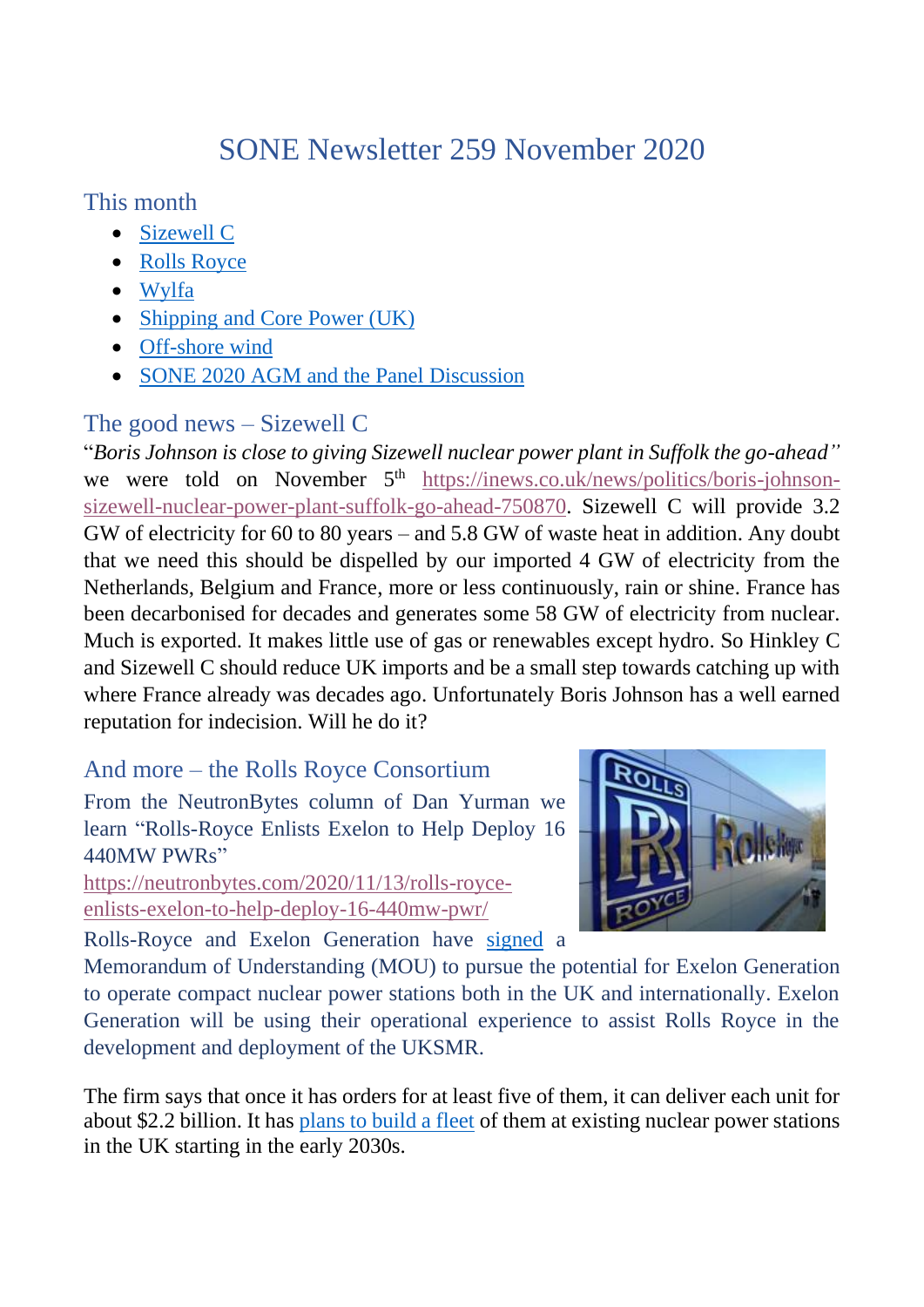# SONE Newsletter 259 November 2020

This month

- [Sizewell C](#page-0-0)
- [Rolls Royce](#page-0-1)
- [Wylfa](#page-1-0)
- [Shipping and Core Power \(UK\)](#page-1-1)
- [Off-shore wind](#page-2-0)
- [SONE 2020 AGM and the Panel](#page-4-0) Discussion

## <span id="page-0-0"></span>The good news – Sizewell C

"*Boris Johnson is close to giving Sizewell nuclear power plant in Suffolk the go-ahead"* we were told on November 5<sup>th</sup> [https://inews.co.uk/news/politics/boris-johnson](https://inews.co.uk/news/politics/boris-johnson-sizewell-nuclear-power-plant-suffolk-go-ahead-750870)[sizewell-nuclear-power-plant-suffolk-go-ahead-750870.](https://inews.co.uk/news/politics/boris-johnson-sizewell-nuclear-power-plant-suffolk-go-ahead-750870) Sizewell C will provide 3.2 GW of electricity for 60 to 80 years – and 5.8 GW of waste heat in addition. Any doubt that we need this should be dispelled by our imported 4 GW of electricity from the Netherlands, Belgium and France, more or less continuously, rain or shine. France has been decarbonised for decades and generates some 58 GW of electricity from nuclear. Much is exported. It makes little use of gas or renewables except hydro. So Hinkley C and Sizewell C should reduce UK imports and be a small step towards catching up with where France already was decades ago. Unfortunately Boris Johnson has a well earned reputation for indecision. Will he do it?

### And more – the Rolls Royce Consortium

<span id="page-0-1"></span>From the NeutronBytes column of Dan Yurman we learn "Rolls-Royce Enlists Exelon to Help Deploy 16 440MW PWRs"

[https://neutronbytes.com/2020/11/13/rolls-royce](https://neutronbytes.com/2020/11/13/rolls-royce-enlists-exelon-to-help-deploy-16-440mw-pwr/)[enlists-exelon-to-help-deploy-16-440mw-pwr/](https://neutronbytes.com/2020/11/13/rolls-royce-enlists-exelon-to-help-deploy-16-440mw-pwr/)

Rolls-Royce and Exelon Generation have [signed](https://www.rolls-royce.com/media/press-releases/2020/08-11-2020-rr-signs-mou-with-exelon-for-compact-nuclear-power-stations.aspx) a



Memorandum of Understanding (MOU) to pursue the potential for Exelon Generation to operate compact nuclear power stations both in the UK and internationally. Exelon Generation will be using their operational experience to assist Rolls Royce in the development and deployment of the UKSMR.

The firm says that once it has orders for at least five of them, it can deliver each unit for about \$2.2 billion. It has [plans to build a fleet](https://neutronbytes.com/2019/11/09/rolls-royce-reveals-440-mw-commecial-reactor-design/) of them at existing nuclear power stations in the UK starting in the early 2030s.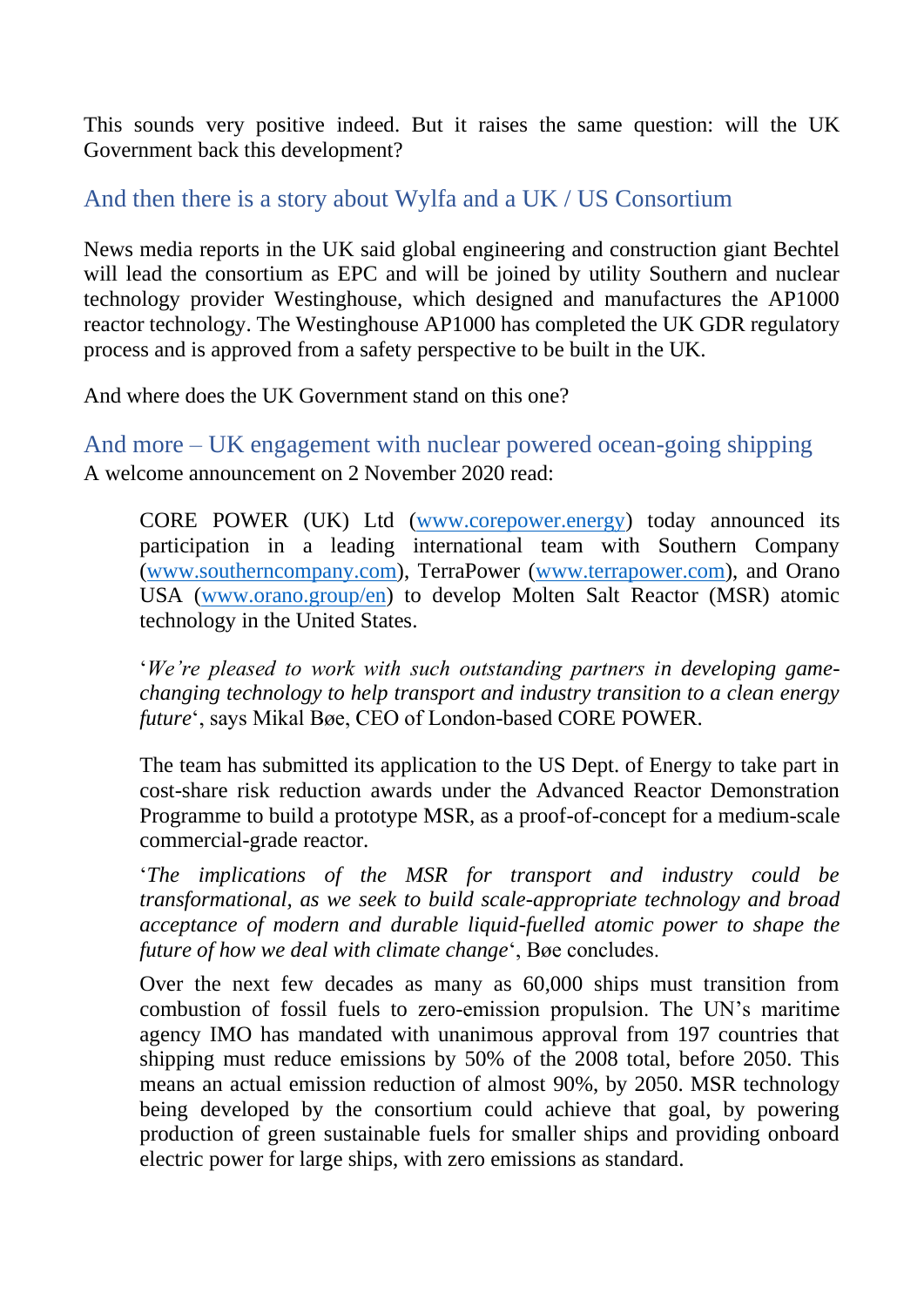This sounds very positive indeed. But it raises the same question: will the UK Government back this development?

#### <span id="page-1-0"></span>And then there is a story about Wylfa and a UK / US Consortium

News media reports in the UK said global engineering and construction giant Bechtel will lead the consortium as EPC and will be joined by utility Southern and nuclear technology provider Westinghouse, which designed and manufactures the AP1000 reactor technology. The Westinghouse AP1000 has completed the UK GDR regulatory process and is approved from a safety perspective to be built in the UK.

And where does the UK Government stand on this one?

<span id="page-1-1"></span>And more – UK engagement with nuclear powered ocean-going shipping A welcome announcement on 2 November 2020 read:

CORE POWER (UK) Ltd [\(www.corepower.energy\)](http://www.corepower.energy/) today announced its participation in a leading international team with Southern Company [\(www.southerncompany.com\)](http://www.southerncompany.com/), TerraPower [\(www.terrapower.com\)](http://www.terrapower.com/), and Orano USA [\(www.orano.group/en\)](http://www.orano.group/en) to develop Molten Salt Reactor (MSR) atomic technology in the United States.

'*We're pleased to work with such outstanding partners in developing gamechanging technology to help transport and industry transition to a clean energy future*', says Mikal Bøe, CEO of London-based CORE POWER.

The team has submitted its application to the US Dept. of Energy to take part in cost-share risk reduction awards under the Advanced Reactor Demonstration Programme to build a prototype MSR, as a proof-of-concept for a medium-scale commercial-grade reactor.

'*The implications of the MSR for transport and industry could be transformational, as we seek to build scale-appropriate technology and broad acceptance of modern and durable liquid-fuelled atomic power to shape the future of how we deal with climate change*', Bøe concludes.

Over the next few decades as many as 60,000 ships must transition from combustion of fossil fuels to zero-emission propulsion. The UN's maritime agency IMO has mandated with unanimous approval from 197 countries that shipping must reduce emissions by 50% of the 2008 total, before 2050. This means an actual emission reduction of almost 90%, by 2050. MSR technology being developed by the consortium could achieve that goal, by powering production of green sustainable fuels for smaller ships and providing onboard electric power for large ships, with zero emissions as standard.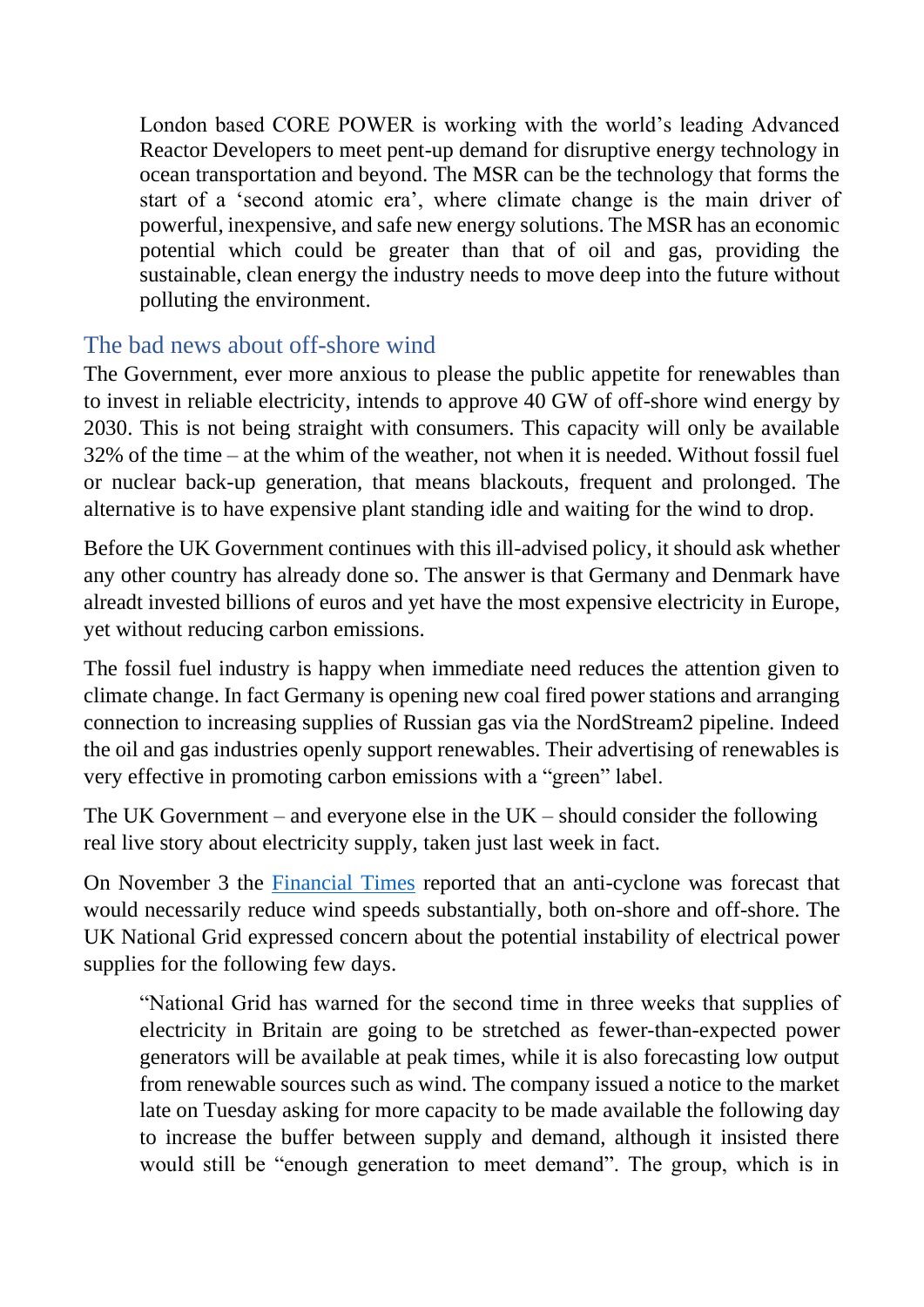London based CORE POWER is working with the world's leading Advanced Reactor Developers to meet pent-up demand for disruptive energy technology in ocean transportation and beyond. The MSR can be the technology that forms the start of a 'second atomic era', where climate change is the main driver of powerful, inexpensive, and safe new energy solutions. The MSR has an economic potential which could be greater than that of oil and gas, providing the sustainable, clean energy the industry needs to move deep into the future without polluting the environment.

#### <span id="page-2-0"></span>The bad news about off-shore wind

The Government, ever more anxious to please the public appetite for renewables than to invest in reliable electricity, intends to approve 40 GW of off-shore wind energy by 2030. This is not being straight with consumers. This capacity will only be available 32% of the time – at the whim of the weather, not when it is needed. Without fossil fuel or nuclear back-up generation, that means blackouts, frequent and prolonged. The alternative is to have expensive plant standing idle and waiting for the wind to drop.

Before the UK Government continues with this ill-advised policy, it should ask whether any other country has already done so. The answer is that Germany and Denmark have alreadt invested billions of euros and yet have the most expensive electricity in Europe, yet without reducing carbon emissions.

The fossil fuel industry is happy when immediate need reduces the attention given to climate change. In fact Germany is opening new coal fired power stations and arranging connection to increasing supplies of Russian gas via the NordStream2 pipeline. Indeed the oil and gas industries openly support renewables. Their advertising of renewables is very effective in promoting carbon emissions with a "green" label.

The UK Government – and everyone else in the  $UK -$  should consider the following real live story about electricity supply, taken just last week in fact.

On November 3 the [Financial Times](https://www.ft.com/content/f5e8995f-00c8-4c74-8738-55b47a871633?desktop=true&segmentId=d8d3e364-5197-20eb-17cf-2437841d178a#myft:notification:instant-email:content) reported that an anti-cyclone was forecast that would necessarily reduce wind speeds substantially, both on-shore and off-shore. The UK National Grid expressed concern about the potential instability of electrical power supplies for the following few days.

"National Grid has warned for the second time in three weeks that supplies of electricity in Britain are going to be stretched as fewer-than-expected power generators will be available at peak times, while it is also forecasting low output from renewable sources such as wind. The company issued a notice to the market late on Tuesday asking for more capacity to be made available the following day to increase the buffer between supply and demand, although it insisted there would still be "enough generation to meet demand". The group, which is in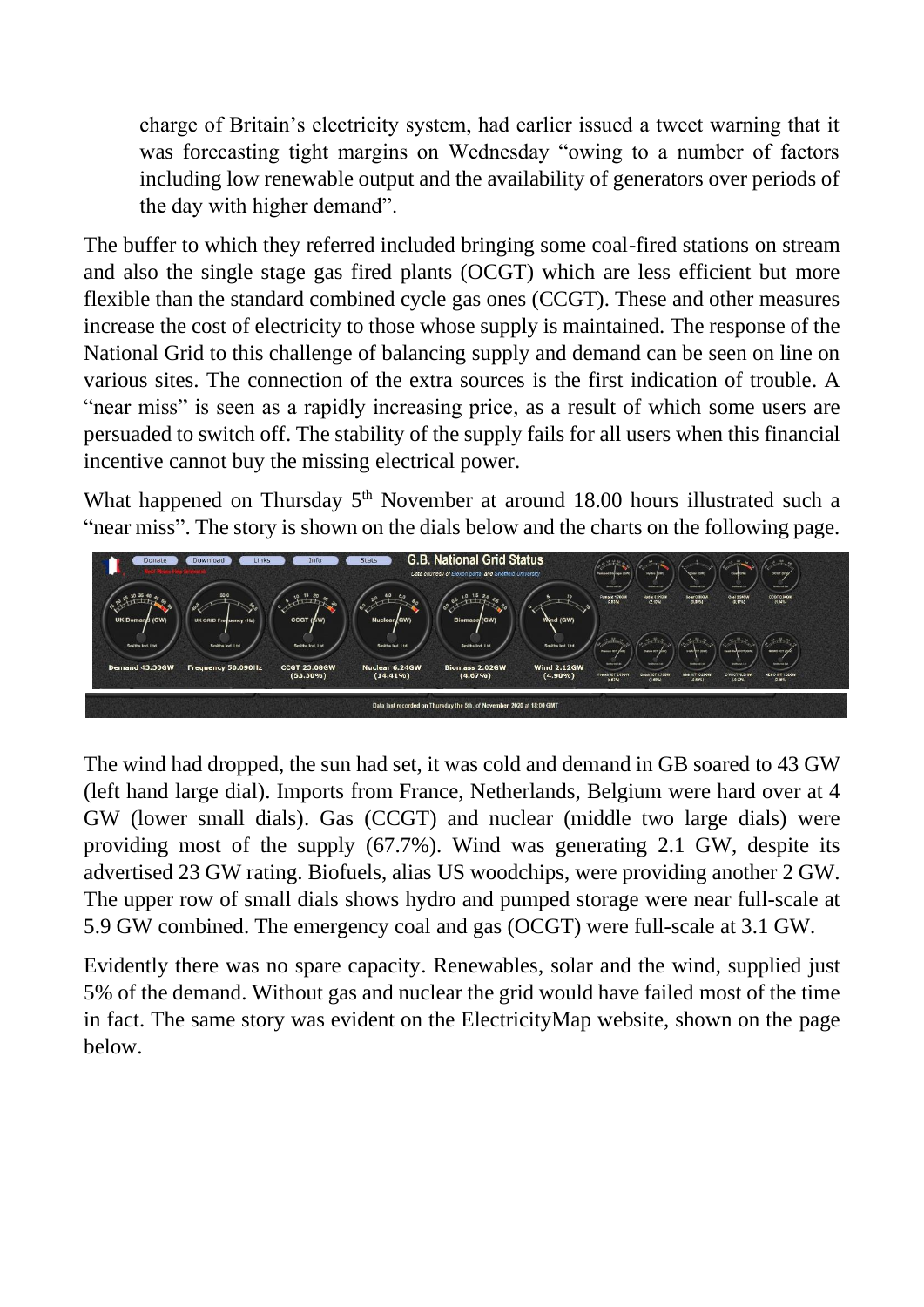charge of Britain's electricity system, had earlier issued a tweet warning that it was forecasting tight margins on Wednesday "owing to a number of factors including low renewable output and the availability of generators over periods of the day with higher demand".

The buffer to which they referred included bringing some coal-fired stations on stream and also the single stage gas fired plants (OCGT) which are less efficient but more flexible than the standard combined cycle gas ones (CCGT). These and other measures increase the cost of electricity to those whose supply is maintained. The response of the National Grid to this challenge of balancing supply and demand can be seen on line on various sites. The connection of the extra sources is the first indication of trouble. A "near miss" is seen as a rapidly increasing price, as a result of which some users are persuaded to switch off. The stability of the supply fails for all users when this financial incentive cannot buy the missing electrical power.

What happened on Thursday 5<sup>th</sup> November at around 18.00 hours illustrated such a "near miss". The story is shown on the dials below and the charts on the following page.



The wind had dropped, the sun had set, it was cold and demand in GB soared to 43 GW (left hand large dial). Imports from France, Netherlands, Belgium were hard over at 4 GW (lower small dials). Gas (CCGT) and nuclear (middle two large dials) were providing most of the supply (67.7%). Wind was generating 2.1 GW, despite its advertised 23 GW rating. Biofuels, alias US woodchips, were providing another 2 GW. The upper row of small dials shows hydro and pumped storage were near full-scale at 5.9 GW combined. The emergency coal and gas (OCGT) were full-scale at 3.1 GW.

Evidently there was no spare capacity. Renewables, solar and the wind, supplied just 5% of the demand. Without gas and nuclear the grid would have failed most of the time in fact. The same story was evident on the ElectricityMap website, shown on the page below.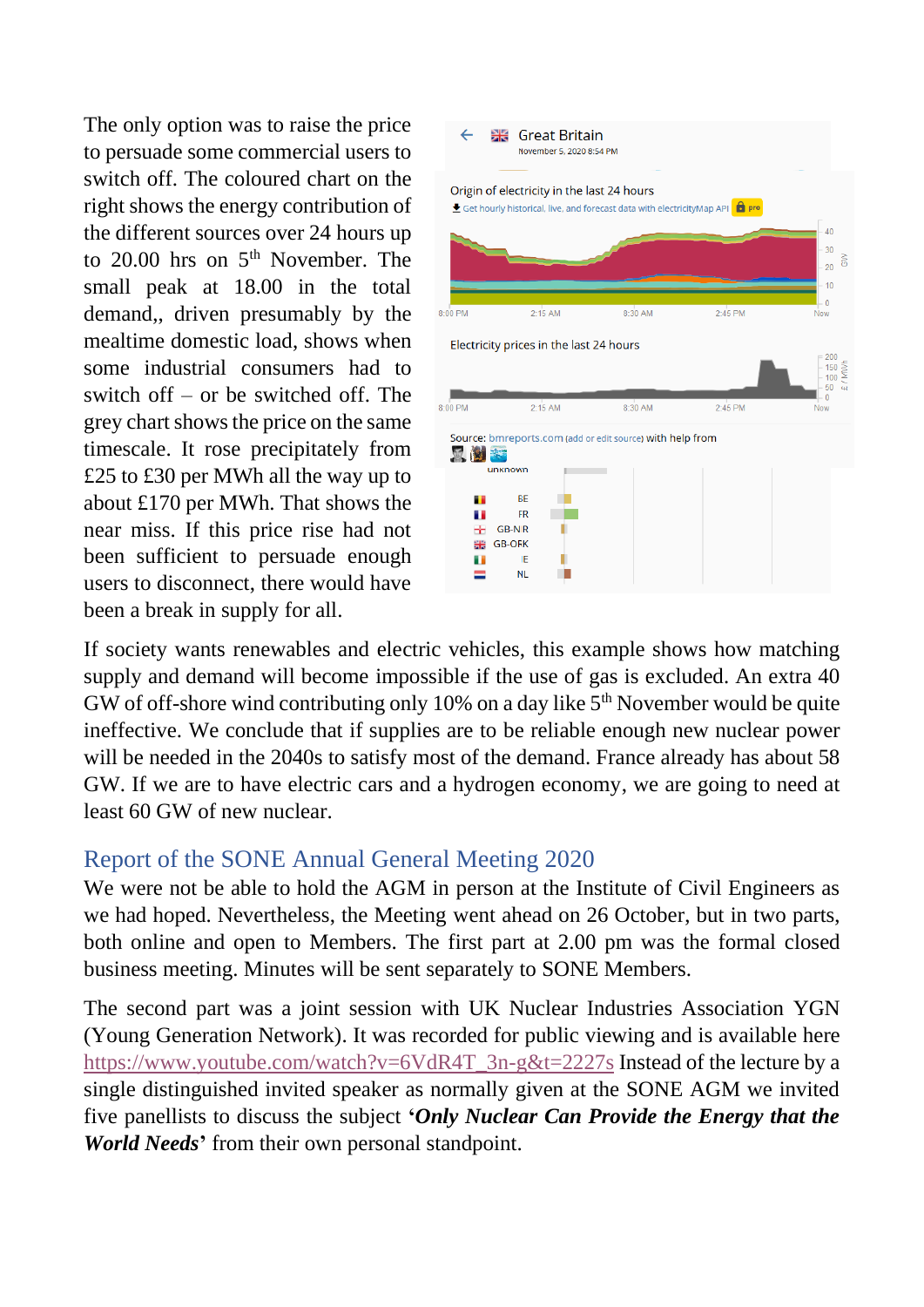The only option was to raise the price to persuade some commercial users to switch off. The coloured chart on the right shows the energy contribution of the different sources over 24 hours up to  $20.00$  hrs on  $5<sup>th</sup>$  November. The small peak at 18.00 in the total demand,, driven presumably by the mealtime domestic load, shows when some industrial consumers had to switch off – or be switched off. The grey chart shows the price on the same timescale. It rose precipitately from £25 to £30 per MWh all the way up to about £170 per MWh. That shows the near miss. If this price rise had not been sufficient to persuade enough users to disconnect, there would have been a break in supply for all.



If society wants renewables and electric vehicles, this example shows how matching supply and demand will become impossible if the use of gas is excluded. An extra 40 GW of off-shore wind contributing only 10% on a day like  $5<sup>th</sup>$  November would be quite ineffective. We conclude that if supplies are to be reliable enough new nuclear power will be needed in the 2040s to satisfy most of the demand. France already has about 58 GW. If we are to have electric cars and a hydrogen economy, we are going to need at least 60 GW of new nuclear.

#### <span id="page-4-0"></span>Report of the SONE Annual General Meeting 2020

We were not be able to hold the AGM in person at the Institute of Civil Engineers as we had hoped. Nevertheless, the Meeting went ahead on 26 October, but in two parts, both online and open to Members. The first part at 2.00 pm was the formal closed business meeting. Minutes will be sent separately to SONE Members.

The second part was a joint session with UK Nuclear Industries Association YGN (Young Generation Network). It was recorded for public viewing and is available here [https://www.youtube.com/watch?v=6VdR4T\\_3n-g&t=2227s](https://www.youtube.com/watch?v=6VdR4T_3n-g&t=2227s) Instead of the lecture by a single distinguished invited speaker as normally given at the SONE AGM we invited five panellists to discuss the subject **'***Only Nuclear Can Provide the Energy that the World Needs***'** from their own personal standpoint.